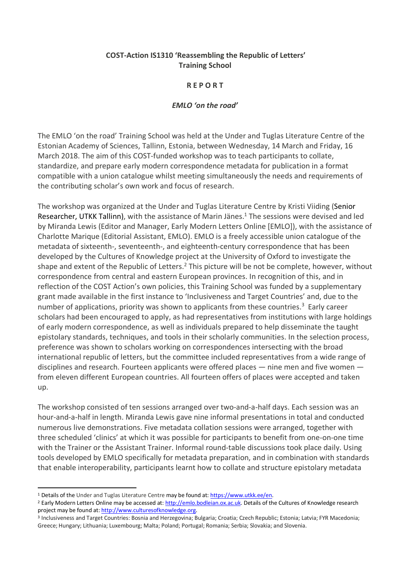## **COST-Action IS1310 'Reassembling the Republic of Letters' Training School**

## **R E P O R T**

## *EMLO 'on the road'*

The EMLO 'on the road' Training School was held at the Under and Tuglas Literature Centre of the Estonian Academy of Sciences, Tallinn, Estonia, between Wednesday, 14 March and Friday, 16 March 2018. The aim of this COST-funded workshop was to teach participants to collate, standardize, and prepare early modern correspondence metadata for publication in a format compatible with a union catalogue whilst meeting simultaneously the needs and requirements of the contributing scholar's own work and focus of research.

The workshop was organized at the Under and Tuglas Literature Centre by Kristi Viiding (Senior Researcher, UTKK Tallinn), with the assistance of Marin Jänes.<sup>1</sup> The sessions were devised and led by Miranda Lewis (Editor and Manager, Early Modern Letters Online [EMLO]), with the assistance of Charlotte Marique (Editorial Assistant, EMLO). EMLO is a freely accessible union catalogue of the metadata of sixteenth-, seventeenth-, and eighteenth-century correspondence that has been developed by the Cultures of Knowledge project at the University of Oxford to investigate the shape and extent of the Republic of Letters.<sup>2</sup> This picture will be not be complete, however, without correspondence from central and eastern European provinces. In recognition of this, and in reflection of the COST Action's own policies, this Training School was funded by a supplementary grant made available in the first instance to 'Inclusiveness and Target Countries' and, due to the number of applications, priority was shown to applicants from these countries.<sup>3</sup> Early career scholars had been encouraged to apply, as had representatives from institutions with large holdings of early modern correspondence, as well as individuals prepared to help disseminate the taught epistolary standards, techniques, and tools in their scholarly communities. In the selection process, preference was shown to scholars working on correspondences intersecting with the broad international republic of letters, but the committee included representatives from a wide range of disciplines and research. Fourteen applicants were offered places — nine men and five women from eleven different European countries. All fourteen offers of places were accepted and taken up.

The workshop consisted of ten sessions arranged over two-and-a-half days. Each session was an hour-and-a-half in length. Miranda Lewis gave nine informal presentations in total and conducted numerous live demonstrations. Five metadata collation sessions were arranged, together with three scheduled 'clinics' at which it was possible for participants to benefit from one-on-one time with the Trainer or the Assistant Trainer. Informal round-table discussions took place daily. Using tools developed by EMLO specifically for metadata preparation, and in combination with standards that enable interoperability, participants learnt how to collate and structure epistolary metadata

 <sup>1</sup> Details of the Under and Tuglas Literature Centre may be found at: https://www.utkk.ee/en.

<sup>&</sup>lt;sup>2</sup> Early Modern Letters Online may be accessed at: http://emlo.bodleian.ox.ac.uk. Details of the Cultures of Knowledge research project may be found at: http://www.culturesofknowledge.org.

<sup>3</sup> Inclusiveness and Target Countries: Bosnia and Herzegovina; Bulgaria; Croatia; Czech Republic; Estonia; Latvia; FYR Macedonia; Greece; Hungary; Lithuania; Luxembourg; Malta; Poland; Portugal; Romania; Serbia; Slovakia; and Slovenia.